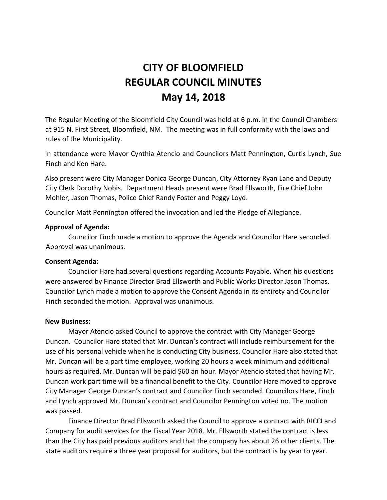# **CITY OF BLOOMFIELD REGULAR COUNCIL MINUTES May 14, 2018**

The Regular Meeting of the Bloomfield City Council was held at 6 p.m. in the Council Chambers at 915 N. First Street, Bloomfield, NM. The meeting was in full conformity with the laws and rules of the Municipality.

In attendance were Mayor Cynthia Atencio and Councilors Matt Pennington, Curtis Lynch, Sue Finch and Ken Hare.

Also present were City Manager Donica George Duncan, City Attorney Ryan Lane and Deputy City Clerk Dorothy Nobis. Department Heads present were Brad Ellsworth, Fire Chief John Mohler, Jason Thomas, Police Chief Randy Foster and Peggy Loyd.

Councilor Matt Pennington offered the invocation and led the Pledge of Allegiance.

# **Approval of Agenda:**

Councilor Finch made a motion to approve the Agenda and Councilor Hare seconded. Approval was unanimous.

### **Consent Agenda:**

Councilor Hare had several questions regarding Accounts Payable. When his questions were answered by Finance Director Brad Ellsworth and Public Works Director Jason Thomas, Councilor Lynch made a motion to approve the Consent Agenda in its entirety and Councilor Finch seconded the motion. Approval was unanimous.

### **New Business:**

Mayor Atencio asked Council to approve the contract with City Manager George Duncan. Councilor Hare stated that Mr. Duncan's contract will include reimbursement for the use of his personal vehicle when he is conducting City business. Councilor Hare also stated that Mr. Duncan will be a part time employee, working 20 hours a week minimum and additional hours as required. Mr. Duncan will be paid \$60 an hour. Mayor Atencio stated that having Mr. Duncan work part time will be a financial benefit to the City. Councilor Hare moved to approve City Manager George Duncan's contract and Councilor Finch seconded. Councilors Hare, Finch and Lynch approved Mr. Duncan's contract and Councilor Pennington voted no. The motion was passed.

Finance Director Brad Ellsworth asked the Council to approve a contract with RICCI and Company for audit services for the Fiscal Year 2018. Mr. Ellsworth stated the contract is less than the City has paid previous auditors and that the company has about 26 other clients. The state auditors require a three year proposal for auditors, but the contract is by year to year.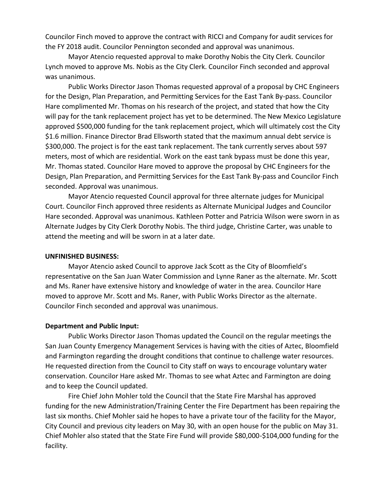Councilor Finch moved to approve the contract with RICCI and Company for audit services for the FY 2018 audit. Councilor Pennington seconded and approval was unanimous.

Mayor Atencio requested approval to make Dorothy Nobis the City Clerk. Councilor Lynch moved to approve Ms. Nobis as the City Clerk. Councilor Finch seconded and approval was unanimous.

Public Works Director Jason Thomas requested approval of a proposal by CHC Engineers for the Design, Plan Preparation, and Permitting Services for the East Tank By-pass. Councilor Hare complimented Mr. Thomas on his research of the project, and stated that how the City will pay for the tank replacement project has yet to be determined. The New Mexico Legislature approved \$500,000 funding for the tank replacement project, which will ultimately cost the City \$1.6 million. Finance Director Brad Ellsworth stated that the maximum annual debt service is \$300,000. The project is for the east tank replacement. The tank currently serves about 597 meters, most of which are residential. Work on the east tank bypass must be done this year, Mr. Thomas stated. Councilor Hare moved to approve the proposal by CHC Engineers for the Design, Plan Preparation, and Permitting Services for the East Tank By-pass and Councilor Finch seconded. Approval was unanimous.

Mayor Atencio requested Council approval for three alternate judges for Municipal Court. Councilor Finch approved three residents as Alternate Municipal Judges and Councilor Hare seconded. Approval was unanimous. Kathleen Potter and Patricia Wilson were sworn in as Alternate Judges by City Clerk Dorothy Nobis. The third judge, Christine Carter, was unable to attend the meeting and will be sworn in at a later date.

### **UNFINISHED BUSINESS:**

Mayor Atencio asked Council to approve Jack Scott as the City of Bloomfield's representative on the San Juan Water Commission and Lynne Raner as the alternate. Mr. Scott and Ms. Raner have extensive history and knowledge of water in the area. Councilor Hare moved to approve Mr. Scott and Ms. Raner, with Public Works Director as the alternate. Councilor Finch seconded and approval was unanimous.

# **Department and Public Input:**

Public Works Director Jason Thomas updated the Council on the regular meetings the San Juan County Emergency Management Services is having with the cities of Aztec, Bloomfield and Farmington regarding the drought conditions that continue to challenge water resources. He requested direction from the Council to City staff on ways to encourage voluntary water conservation. Councilor Hare asked Mr. Thomas to see what Aztec and Farmington are doing and to keep the Council updated.

Fire Chief John Mohler told the Council that the State Fire Marshal has approved funding for the new Administration/Training Center the Fire Department has been repairing the last six months. Chief Mohler said he hopes to have a private tour of the facility for the Mayor, City Council and previous city leaders on May 30, with an open house for the public on May 31. Chief Mohler also stated that the State Fire Fund will provide \$80,000-\$104,000 funding for the facility.